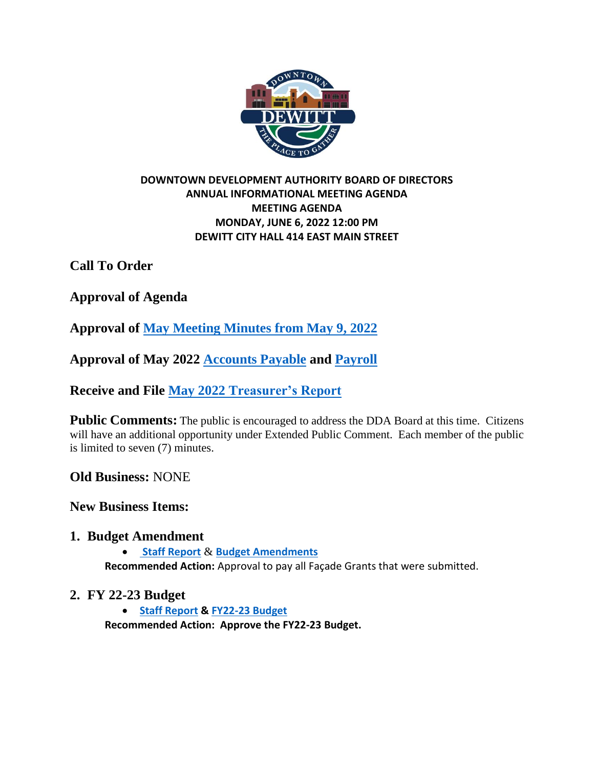

### **DOWNTOWN DEVELOPMENT AUTHORITY BOARD OF DIRECTORS ANNUAL INFORMATIONAL MEETING AGENDA MEETING AGENDA MONDAY, JUNE 6, 2022 12:00 PM DEWITT CITY HALL 414 EAST MAIN STREET**

**Call To Order**

**Approval of Agenda**

**Approval of [May Meeting Minutes from](https://drive.google.com/file/d/1U7QSVa40dIigpy0Qer-svKj7jo1mYlQe/view?usp=sharing) May 9, 2022**

**Approval of May 2022 [Accounts Payable](https://drive.google.com/file/d/1z0PbBs_zGp2ow8wqnKNJVENISibgHhEu/view?usp=sharing) and [Payroll](https://drive.google.com/file/d/1WVysLPXqrcZEl8UL7s_f95yME-4z2qgU/view?usp=sharing)**

**Receive and File May 2022 [Treasurer's Report](https://drive.google.com/file/d/1EUAmqji2cZzYDKPFQzFX50hO33DOfH1s/view?usp=sharing)**

**Public Comments:** The public is encouraged to address the DDA Board at this time. Citizens will have an additional opportunity under Extended Public Comment. Each member of the public is limited to seven (7) minutes.

**Old Business:** NONE

**New Business Items:**

## **1. Budget Amendment**

• **[Staff Report](https://drive.google.com/file/d/1PCBGC5pM0-5x5cV5GiQ6tSJMb23q2-B3/view?usp=sharing)** & **[Budget Amendments](https://docs.google.com/spreadsheets/d/1rFEq3En2e_9s6OfUNX0wBVnkTOPLIBK4/edit?usp=sharing&ouid=111673288271957214183&rtpof=true&sd=true) Recommended Action:** Approval to pay all Façade Grants that were submitted.

# **2. FY 22-23 Budget**

• **[Staff Report](https://drive.google.com/file/d/1iJZsh05mGQVD-gN67Up9ofKe20PCgBHz/view?usp=sharing) & [FY22-23 Budget](https://docs.google.com/spreadsheets/d/1rat-zTdgujvImDgskfNgp7eSpxy_7C0g/edit?usp=sharing&ouid=111673288271957214183&rtpof=true&sd=true) Recommended Action: Approve the FY22-23 Budget.**